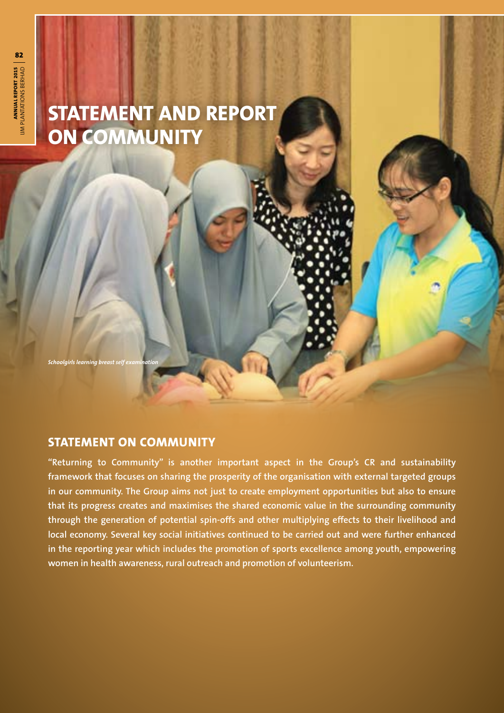# **STATEMENT AND REPORT ON COMMUNITY**

*Schoolgirls learning breast self examination*

## **STATEMENT ON COMMUNITY**

**"Returning to Community" is another important aspect in the Group's CR and sustainability framework that focuses on sharing the prosperity of the organisation with external targeted groups in our community. The Group aims not just to create employment opportunities but also to ensure that its progress creates and maximises the shared economic value in the surrounding community through the generation of potential spin-offs and other multiplying effects to their livelihood and local economy. Several key social initiatives continued to be carried out and were further enhanced in the reporting year which includes the promotion of sports excellence among youth, empowering women in health awareness, rural outreach and promotion of volunteerism.**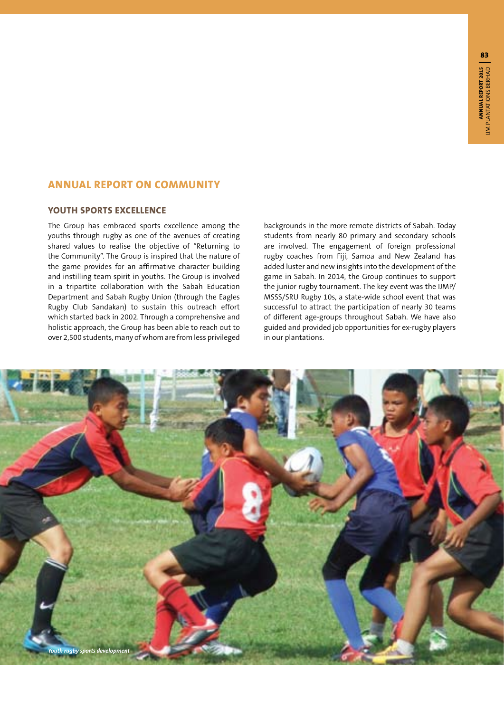## **ANNUAL REPORT ON COMMUNITY**

## **YOUTH SPORTS EXCELLENCE**

The Group has embraced sports excellence among the youths through rugby as one of the avenues of creating shared values to realise the objective of "Returning to the Community". The Group is inspired that the nature of the game provides for an affirmative character building and instilling team spirit in youths. The Group is involved in a tripartite collaboration with the Sabah Education Department and Sabah Rugby Union (through the Eagles Rugby Club Sandakan) to sustain this outreach effort which started back in 2002. Through a comprehensive and holistic approach, the Group has been able to reach out to over 2,500 students, many of whom are from less privileged backgrounds in the more remote districts of Sabah. Today students from nearly 80 primary and secondary schools are involved. The engagement of foreign professional rugby coaches from Fiji, Samoa and New Zealand has added luster and new insights into the development of the game in Sabah. In 2014, the Group continues to support the junior rugby tournament. The key event was the IJMP/ MSSS/SRU Rugby 10s, a state-wide school event that was successful to attract the participation of nearly 30 teams of different age-groups throughout Sabah. We have also guided and provided job opportunities for ex-rugby players in our plantations.